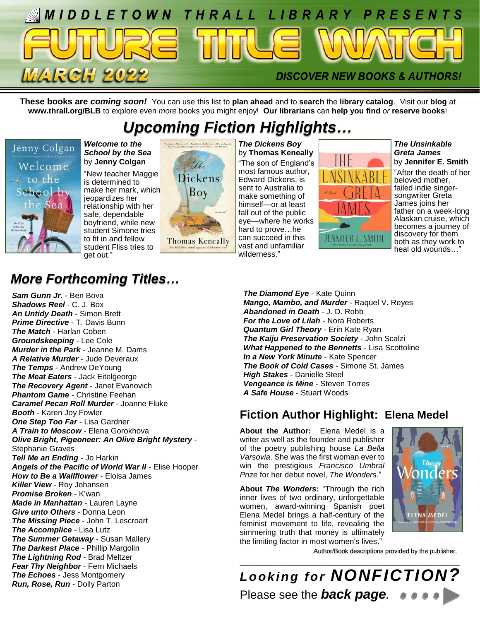

**These books are** *coming soon!* You can use this list to **plan ahead** and to **search** the **library catalog**. Visit our **blog** at **www.thrall.org/BLB** to explore even *more* books you might enjoy! **Our librarians** can **help you find** *or* **reserve books**!

## *Upcoming Fiction Highlights…*



*Welcome to the School by the Sea* by **Jenny Colgan**

"New teacher Maggie is determined to make her mark, which jeopardizes her relationship with her safe, dependable boyfriend, while new student Simone tries to fit in and fellow student Fliss tries to get out."



*The Dickens Boy* by **Thomas Keneally** "The son of England's most famous author, Edward Dickens, is sent to Australia to make something of himself—or at least fall out of the public eye—where he works hard to prove…he can succeed in this vast and unfamiliar wilderness."



*The Unsinkable Greta James* by **Jennifer E. Smith**

"After the death of her beloved mother, failed indie singersongwriter Greta James joins her father on a week-long Alaskan cruise, which becomes a journey of discovery for them both as they work to heal old wounds…"

## *More Forthcoming Titles…*

*Sam Gunn Jr.* - Ben Bova *Shadows Reel* - C. J. Box *An Untidy Death* - Simon Brett *Prime Directive* - T. Davis Bunn *The Match* - Harlan Coben *Groundskeeping* - Lee Cole *Murder in the Park* - Jeanne M. Dams *A Relative Murder* - Jude Deveraux *The Temps* - Andrew DeYoung *The Meat Eaters* - Jack Eitelgeorge *The Recovery Agent* - Janet Evanovich *Phantom Game* - Christine Feehan *Caramel Pecan Roll Murder* - Joanne Fluke *Booth* - Karen Joy Fowler *One Step Too Far* - Lisa Gardner *A Train to Moscow* - Elena Gorokhova *Olive Bright, Pigeoneer: An Olive Bright Mystery* - Stephanie Graves *Tell Me an Ending* - Jo Harkin *Angels of the Pacific of World War II* - Elise Hooper *How to Be a Wallflower* - Eloisa James *Killer View* - Roy Johansen *Promise Broken* - K'wan *Made in Manhattan* - Lauren Layne *Give unto Others* - Donna Leon *The Missing Piece* - John T. Lescroart *The Accomplice* - Lisa Lutz *The Summer Getaway* - Susan Mallery *The Darkest Place* - Phillip Margolin *The Lightning Rod* - Brad Meltzer *Fear Thy Neighbor* - Fern Michaels *The Echoes* - Jess Montgomery *Run, Rose, Run* - Dolly Parton

*The Diamond Eye* - Kate Quinn *Mango, Mambo, and Murder* - Raquel V. Reyes *Abandoned in Death* - J. D. Robb *For the Love of Lilah* - Nora Roberts *Quantum Girl Theory* - Erin Kate Ryan *The Kaiju Preservation Society* - John Scalzi *What Happened to the Bennetts* - Lisa Scottoline *In a New York Minute* - Kate Spencer *The Book of Cold Cases* - Simone St. James *High Stakes* - Danielle Steel *Vengeance is Mine* - Steven Torres *A Safe House* - Stuart Woods

### **Fiction Author Highlight: Elena Medel**

**About the Author:** Elena Medel is a writer as well as the founder and publisher of the poetry publishing house *La Bella Varsovia*. She was the first woman ever to win the prestigious *Francisco Umbral Prize* for her debut novel, *The Wonders*."

**About** *The Wonders***:** "Through the rich inner lives of two ordinary, unforgettable women, award-winning Spanish poet Elena Medel brings a half-century of the feminist movement to life, revealing the simmering truth that money is ultimately the limiting factor in most women's lives."



Author/Book descriptions provided by the publisher.

\_\_\_\_\_\_\_\_\_\_\_\_\_\_\_\_\_\_\_\_\_\_\_\_\_\_\_\_\_\_\_\_\_\_\_\_\_\_\_\_\_\_\_\_\_\_\_\_\_\_\_\_\_\_\_\_ *Looking for NONFICTION?* Please see the *back page.*